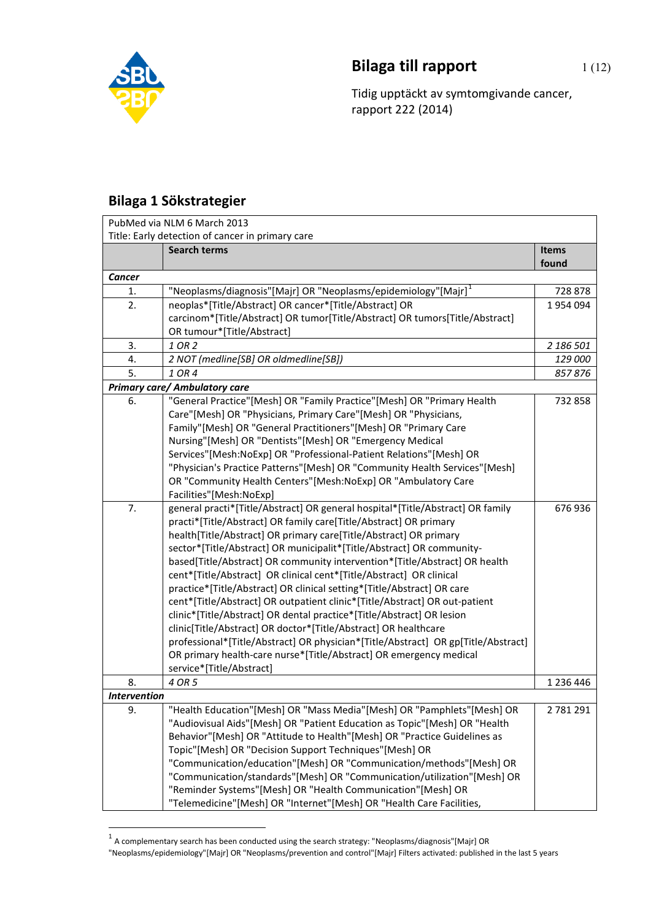

## **Bilaga till rapport** 1(12)

Tidig upptäckt av symtomgivande cancer, rapport 222 (2014)

## **Bilaga 1 Sökstrategier**

|                           | PubMed via NLM 6 March 2013                                                       |              |
|---------------------------|-----------------------------------------------------------------------------------|--------------|
|                           | Title: Early detection of cancer in primary care                                  |              |
|                           | <b>Search terms</b>                                                               | <b>Items</b> |
|                           |                                                                                   | found        |
| Cancer                    |                                                                                   |              |
| 1.                        | "Neoplasms/diagnosis"[Majr] OR "Neoplasms/epidemiology"[Majr] <sup>1</sup>        | 728 878      |
| 2.                        | neoplas*[Title/Abstract] OR cancer*[Title/Abstract] OR                            | 1954094      |
|                           | carcinom*[Title/Abstract] OR tumor[Title/Abstract] OR tumors[Title/Abstract]      |              |
|                           | OR tumour*[Title/Abstract]                                                        |              |
| 3.                        | 1 OR 2                                                                            | 2 186 501    |
| 4.                        | 2 NOT (medline[SB] OR oldmedline[SB])                                             | 129 000      |
| 5.                        | 1 OR 4                                                                            | 857876       |
|                           | <b>Primary care/ Ambulatory care</b>                                              |              |
| 6.                        | "General Practice"[Mesh] OR "Family Practice"[Mesh] OR "Primary Health            | 732 858      |
|                           | Care"[Mesh] OR "Physicians, Primary Care"[Mesh] OR "Physicians,                   |              |
|                           | Family"[Mesh] OR "General Practitioners"[Mesh] OR "Primary Care                   |              |
|                           | Nursing"[Mesh] OR "Dentists"[Mesh] OR "Emergency Medical                          |              |
|                           | Services"[Mesh:NoExp] OR "Professional-Patient Relations"[Mesh] OR                |              |
|                           | "Physician's Practice Patterns"[Mesh] OR "Community Health Services"[Mesh]        |              |
|                           | OR "Community Health Centers"[Mesh:NoExp] OR "Ambulatory Care                     |              |
|                           | Facilities"[Mesh:NoExp]                                                           |              |
| 7.                        | general practi*[Title/Abstract] OR general hospital*[Title/Abstract] OR family    | 676 936      |
|                           | practi*[Title/Abstract] OR family care[Title/Abstract] OR primary                 |              |
|                           | health[Title/Abstract] OR primary care[Title/Abstract] OR primary                 |              |
|                           | sector*[Title/Abstract] OR municipalit*[Title/Abstract] OR community-             |              |
|                           | based[Title/Abstract] OR community intervention*[Title/Abstract] OR health        |              |
|                           | cent*[Title/Abstract] OR clinical cent*[Title/Abstract] OR clinical               |              |
|                           | practice*[Title/Abstract] OR clinical setting*[Title/Abstract] OR care            |              |
|                           | cent*[Title/Abstract] OR outpatient clinic*[Title/Abstract] OR out-patient        |              |
|                           | clinic*[Title/Abstract] OR dental practice*[Title/Abstract] OR lesion             |              |
|                           | clinic[Title/Abstract] OR doctor*[Title/Abstract] OR healthcare                   |              |
|                           | professional*[Title/Abstract] OR physician*[Title/Abstract] OR gp[Title/Abstract] |              |
|                           | OR primary health-care nurse*[Title/Abstract] OR emergency medical                |              |
|                           | service*[Title/Abstract]<br>4 OR 5                                                |              |
| 8.<br><b>Intervention</b> |                                                                                   | 1 236 446    |
| 9.                        | "Health Education"[Mesh] OR "Mass Media"[Mesh] OR "Pamphlets"[Mesh] OR            | 2 781 291    |
|                           | "Audiovisual Aids"[Mesh] OR "Patient Education as Topic"[Mesh] OR "Health         |              |
|                           | Behavior"[Mesh] OR "Attitude to Health"[Mesh] OR "Practice Guidelines as          |              |
|                           | Topic"[Mesh] OR "Decision Support Techniques"[Mesh] OR                            |              |
|                           | "Communication/education"[Mesh] OR "Communication/methods"[Mesh] OR               |              |
|                           | "Communication/standards"[Mesh] OR "Communication/utilization"[Mesh] OR           |              |
|                           | "Reminder Systems"[Mesh] OR "Health Communication"[Mesh] OR                       |              |
|                           | "Telemedicine"[Mesh] OR "Internet"[Mesh] OR "Health Care Facilities,              |              |
|                           |                                                                                   |              |

<span id="page-0-0"></span><sup>&</sup>lt;sup>1</sup> A complementary search has been conducted using the search strategy: "Neoplasms/diagnosis"[Majr] OR

<sup>&</sup>quot;Neoplasms/epidemiology"[Majr] OR "Neoplasms/prevention and control"[Majr] Filters activated: published in the last 5 years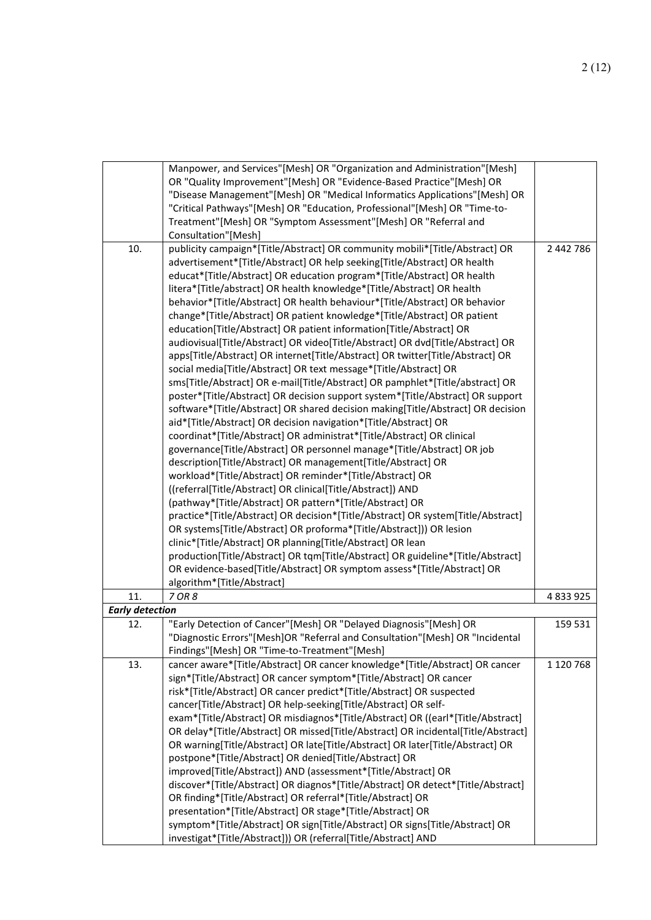|                        | Manpower, and Services"[Mesh] OR "Organization and Administration"[Mesh]<br>OR "Quality Improvement"[Mesh] OR "Evidence-Based Practice"[Mesh] OR<br>"Disease Management"[Mesh] OR "Medical Informatics Applications"[Mesh] OR<br>"Critical Pathways"[Mesh] OR "Education, Professional"[Mesh] OR "Time-to-<br>Treatment"[Mesh] OR "Symptom Assessment"[Mesh] OR "Referral and<br>Consultation"[Mesh]                                                                                                                                                                                                                                                                                                                                                                                                                                                                                                                                                                                                                                                                                                                                                                                                                                                                                                                                                                                                                                                                                                                                                                                                                                                                                                                                                                                                                                                                                                               |               |
|------------------------|--------------------------------------------------------------------------------------------------------------------------------------------------------------------------------------------------------------------------------------------------------------------------------------------------------------------------------------------------------------------------------------------------------------------------------------------------------------------------------------------------------------------------------------------------------------------------------------------------------------------------------------------------------------------------------------------------------------------------------------------------------------------------------------------------------------------------------------------------------------------------------------------------------------------------------------------------------------------------------------------------------------------------------------------------------------------------------------------------------------------------------------------------------------------------------------------------------------------------------------------------------------------------------------------------------------------------------------------------------------------------------------------------------------------------------------------------------------------------------------------------------------------------------------------------------------------------------------------------------------------------------------------------------------------------------------------------------------------------------------------------------------------------------------------------------------------------------------------------------------------------------------------------------------------|---------------|
| 10.                    | publicity campaign*[Title/Abstract] OR community mobili*[Title/Abstract] OR<br>advertisement*[Title/Abstract] OR help seeking[Title/Abstract] OR health<br>educat*[Title/Abstract] OR education program*[Title/Abstract] OR health<br>litera*[Title/abstract] OR health knowledge*[Title/Abstract] OR health<br>behavior*[Title/Abstract] OR health behaviour*[Title/Abstract] OR behavior<br>change*[Title/Abstract] OR patient knowledge*[Title/Abstract] OR patient<br>education[Title/Abstract] OR patient information[Title/Abstract] OR<br>audiovisual[Title/Abstract] OR video[Title/Abstract] OR dvd[Title/Abstract] OR<br>apps[Title/Abstract] OR internet[Title/Abstract] OR twitter[Title/Abstract] OR<br>social media[Title/Abstract] OR text message*[Title/Abstract] OR<br>sms[Title/Abstract] OR e-mail[Title/Abstract] OR pamphlet*[Title/abstract] OR<br>poster*[Title/Abstract] OR decision support system*[Title/Abstract] OR support<br>software*[Title/Abstract] OR shared decision making[Title/Abstract] OR decision<br>aid*[Title/Abstract] OR decision navigation*[Title/Abstract] OR<br>coordinat*[Title/Abstract] OR administrat*[Title/Abstract] OR clinical<br>governance[Title/Abstract] OR personnel manage*[Title/Abstract] OR job<br>description[Title/Abstract] OR management[Title/Abstract] OR<br>workload*[Title/Abstract] OR reminder*[Title/Abstract] OR<br>((referral[Title/Abstract] OR clinical[Title/Abstract]) AND<br>(pathway*[Title/Abstract] OR pattern*[Title/Abstract] OR<br>practice*[Title/Abstract] OR decision*[Title/Abstract] OR system[Title/Abstract]<br>OR systems[Title/Abstract] OR proforma*[Title/Abstract])) OR lesion<br>clinic*[Title/Abstract] OR planning[Title/Abstract] OR lean<br>production[Title/Abstract] OR tqm[Title/Abstract] OR guideline*[Title/Abstract]<br>OR evidence-based[Title/Abstract] OR symptom assess*[Title/Abstract] OR | 2 442 786     |
| 11.                    | algorithm*[Title/Abstract]<br>7 OR 8                                                                                                                                                                                                                                                                                                                                                                                                                                                                                                                                                                                                                                                                                                                                                                                                                                                                                                                                                                                                                                                                                                                                                                                                                                                                                                                                                                                                                                                                                                                                                                                                                                                                                                                                                                                                                                                                               | 4 8 3 9 9 2 5 |
| <b>Early detection</b> |                                                                                                                                                                                                                                                                                                                                                                                                                                                                                                                                                                                                                                                                                                                                                                                                                                                                                                                                                                                                                                                                                                                                                                                                                                                                                                                                                                                                                                                                                                                                                                                                                                                                                                                                                                                                                                                                                                                    |               |
| 12.                    | "Early Detection of Cancer"[Mesh] OR "Delayed Diagnosis"[Mesh] OR<br>"Diagnostic Errors"[Mesh]OR "Referral and Consultation"[Mesh] OR "Incidental<br>Findings"[Mesh] OR "Time-to-Treatment"[Mesh]                                                                                                                                                                                                                                                                                                                                                                                                                                                                                                                                                                                                                                                                                                                                                                                                                                                                                                                                                                                                                                                                                                                                                                                                                                                                                                                                                                                                                                                                                                                                                                                                                                                                                                                  | 159 531       |
| 13.                    | cancer aware*[Title/Abstract] OR cancer knowledge*[Title/Abstract] OR cancer<br>sign*[Title/Abstract] OR cancer symptom*[Title/Abstract] OR cancer<br>risk*[Title/Abstract] OR cancer predict*[Title/Abstract] OR suspected<br>cancer[Title/Abstract] OR help-seeking[Title/Abstract] OR self-<br>exam*[Title/Abstract] OR misdiagnos*[Title/Abstract] OR ((earl*[Title/Abstract]<br>OR delay*[Title/Abstract] OR missed[Title/Abstract] OR incidental[Title/Abstract]<br>OR warning[Title/Abstract] OR late[Title/Abstract] OR later[Title/Abstract] OR<br>postpone*[Title/Abstract] OR denied[Title/Abstract] OR<br>improved[Title/Abstract]) AND (assessment*[Title/Abstract] OR<br>discover*[Title/Abstract] OR diagnos*[Title/Abstract] OR detect*[Title/Abstract]<br>OR finding*[Title/Abstract] OR referral*[Title/Abstract] OR<br>presentation*[Title/Abstract] OR stage*[Title/Abstract] OR<br>symptom*[Title/Abstract] OR sign[Title/Abstract] OR signs[Title/Abstract] OR<br>investigat*[Title/Abstract])) OR (referral[Title/Abstract] AND                                                                                                                                                                                                                                                                                                                                                                                                                                                                                                                                                                                                                                                                                                                                                                                                                                                             | 1 120 768     |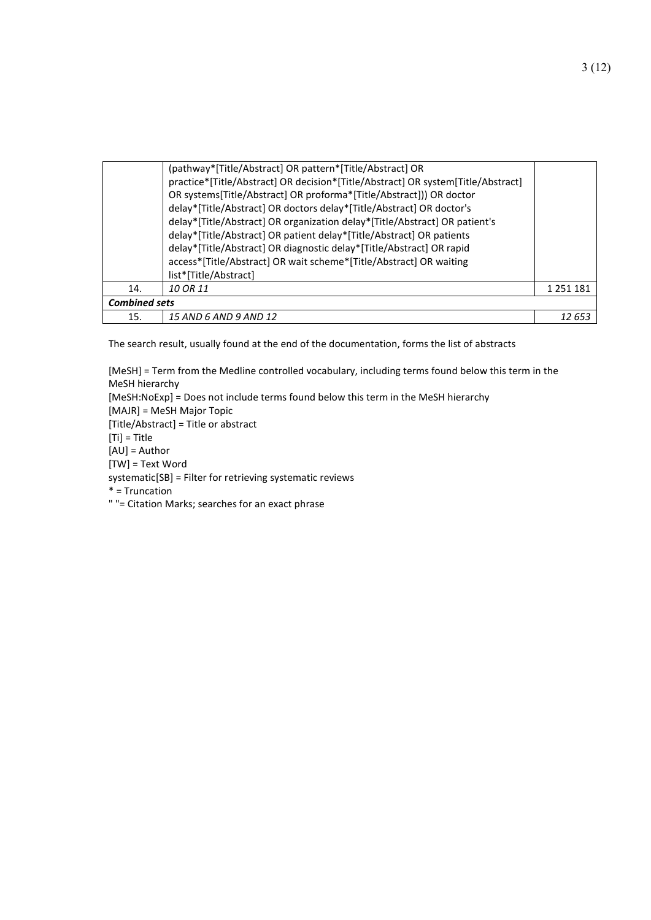|                      | (pathway*[Title/Abstract] OR pattern*[Title/Abstract] OR<br>practice*[Title/Abstract] OR decision*[Title/Abstract] OR system[Title/Abstract]<br>OR systems[Title/Abstract] OR proforma*[Title/Abstract])) OR doctor<br>delay*[Title/Abstract] OR doctors delay*[Title/Abstract] OR doctor's<br>delay*[Title/Abstract] OR organization delay*[Title/Abstract] OR patient's<br>delay*[Title/Abstract] OR patient delay*[Title/Abstract] OR patients<br>delay*[Title/Abstract] OR diagnostic delay*[Title/Abstract] OR rapid<br>access*[Title/Abstract] OR wait scheme*[Title/Abstract] OR waiting<br>list*[Title/Abstract] |               |
|----------------------|--------------------------------------------------------------------------------------------------------------------------------------------------------------------------------------------------------------------------------------------------------------------------------------------------------------------------------------------------------------------------------------------------------------------------------------------------------------------------------------------------------------------------------------------------------------------------------------------------------------------------|---------------|
| 14.                  | 10 OR 11                                                                                                                                                                                                                                                                                                                                                                                                                                                                                                                                                                                                                 | 1 2 5 1 1 8 1 |
| <b>Combined sets</b> |                                                                                                                                                                                                                                                                                                                                                                                                                                                                                                                                                                                                                          |               |
| 15.                  | 15 AND 6 AND 9 AND 12                                                                                                                                                                                                                                                                                                                                                                                                                                                                                                                                                                                                    | 12 65.        |

The search result, usually found at the end of the documentation, forms the list of abstracts

[MeSH] = Term from the Medline controlled vocabulary, including terms found below this term in the MeSH hierarchy [MeSH:NoExp] = Does not include terms found below this term in the MeSH hierarchy [MAJR] = MeSH Major Topic [Title/Abstract] = Title or abstract  $[Ti]$  = Title [AU] = Author [TW] = Text Word systematic[SB] = Filter for retrieving systematic reviews \* = Truncation " "= Citation Marks; searches for an exact phrase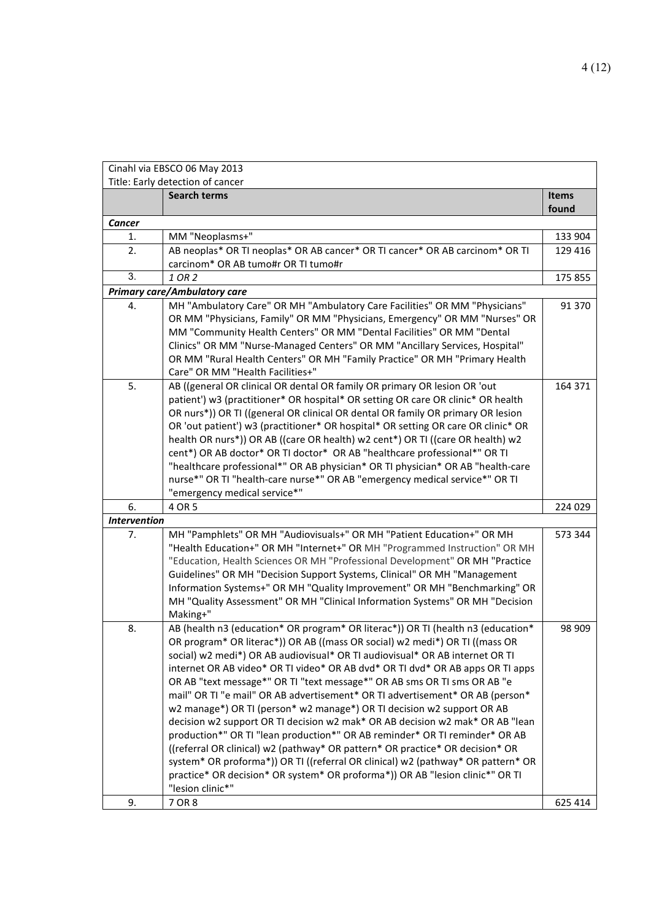|                     | Cinahl via EBSCO 06 May 2013                                                                                        |              |
|---------------------|---------------------------------------------------------------------------------------------------------------------|--------------|
|                     | Title: Early detection of cancer                                                                                    |              |
|                     | <b>Search terms</b>                                                                                                 | <b>Items</b> |
|                     |                                                                                                                     | found        |
| Cancer              |                                                                                                                     |              |
| 1.                  | MM "Neoplasms+"                                                                                                     | 133 904      |
| 2.                  | AB neoplas* OR TI neoplas* OR AB cancer* OR TI cancer* OR AB carcinom* OR TI<br>carcinom* OR AB tumo#r OR TI tumo#r | 129 416      |
| 3.                  | 1 OR 2                                                                                                              | 175 855      |
|                     | <b>Primary care/Ambulatory care</b>                                                                                 |              |
| 4.                  | MH "Ambulatory Care" OR MH "Ambulatory Care Facilities" OR MM "Physicians"                                          | 91 370       |
|                     | OR MM "Physicians, Family" OR MM "Physicians, Emergency" OR MM "Nurses" OR                                          |              |
|                     | MM "Community Health Centers" OR MM "Dental Facilities" OR MM "Dental                                               |              |
|                     | Clinics" OR MM "Nurse-Managed Centers" OR MM "Ancillary Services, Hospital"                                         |              |
|                     | OR MM "Rural Health Centers" OR MH "Family Practice" OR MH "Primary Health                                          |              |
|                     | Care" OR MM "Health Facilities+"                                                                                    |              |
| 5.                  | AB ((general OR clinical OR dental OR family OR primary OR lesion OR 'out                                           | 164 371      |
|                     | patient') w3 (practitioner* OR hospital* OR setting OR care OR clinic* OR health                                    |              |
|                     | OR nurs*)) OR TI ((general OR clinical OR dental OR family OR primary OR lesion                                     |              |
|                     | OR 'out patient') w3 (practitioner* OR hospital* OR setting OR care OR clinic* OR                                   |              |
|                     | health OR nurs*)) OR AB ((care OR health) w2 cent*) OR TI ((care OR health) w2                                      |              |
|                     | cent*) OR AB doctor* OR TI doctor* OR AB "healthcare professional*" OR TI                                           |              |
|                     | "healthcare professional*" OR AB physician* OR TI physician* OR AB "health-care                                     |              |
|                     | nurse*" OR TI "health-care nurse*" OR AB "emergency medical service*" OR TI                                         |              |
|                     | "emergency medical service*"                                                                                        |              |
| 6.                  | 4 OR 5                                                                                                              | 224 029      |
| <b>Intervention</b> |                                                                                                                     |              |
| 7.                  | MH "Pamphlets" OR MH "Audiovisuals+" OR MH "Patient Education+" OR MH                                               | 573 344      |
|                     | "Health Education+" OR MH "Internet+" OR MH "Programmed Instruction" OR MH                                          |              |
|                     | "Education, Health Sciences OR MH "Professional Development" OR MH "Practice                                        |              |
|                     | Guidelines" OR MH "Decision Support Systems, Clinical" OR MH "Management                                            |              |
|                     | Information Systems+" OR MH "Quality Improvement" OR MH "Benchmarking" OR                                           |              |
|                     | MH "Quality Assessment" OR MH "Clinical Information Systems" OR MH "Decision                                        |              |
|                     | Making+"                                                                                                            |              |
| 8.                  | AB (health n3 (education* OR program* OR literac*)) OR TI (health n3 (education*                                    | 98 909       |
|                     | OR program* OR literac*)) OR AB ((mass OR social) w2 medi*) OR TI ((mass OR                                         |              |
|                     | social) w2 medi*) OR AB audiovisual* OR TI audiovisual* OR AB internet OR TI                                        |              |
|                     | internet OR AB video* OR TI video* OR AB dvd* OR TI dvd* OR AB apps OR TI apps                                      |              |
|                     | OR AB "text message*" OR TI "text message*" OR AB sms OR TI sms OR AB "e                                            |              |
|                     | mail" OR TI "e mail" OR AB advertisement* OR TI advertisement* OR AB (person*                                       |              |
|                     | w2 manage*) OR TI (person* w2 manage*) OR TI decision w2 support OR AB                                              |              |
|                     | decision w2 support OR TI decision w2 mak* OR AB decision w2 mak* OR AB "lean                                       |              |
|                     | production*" OR TI "lean production*" OR AB reminder* OR TI reminder* OR AB                                         |              |
|                     | ((referral OR clinical) w2 (pathway* OR pattern* OR practice* OR decision* OR                                       |              |
|                     | system* OR proforma*)) OR TI ((referral OR clinical) w2 (pathway* OR pattern* OR                                    |              |
|                     | practice* OR decision* OR system* OR proforma*)) OR AB "lesion clinic*" OR TI                                       |              |
|                     | "lesion clinic*"                                                                                                    |              |
| 9.                  | 7 OR 8                                                                                                              | 625 414      |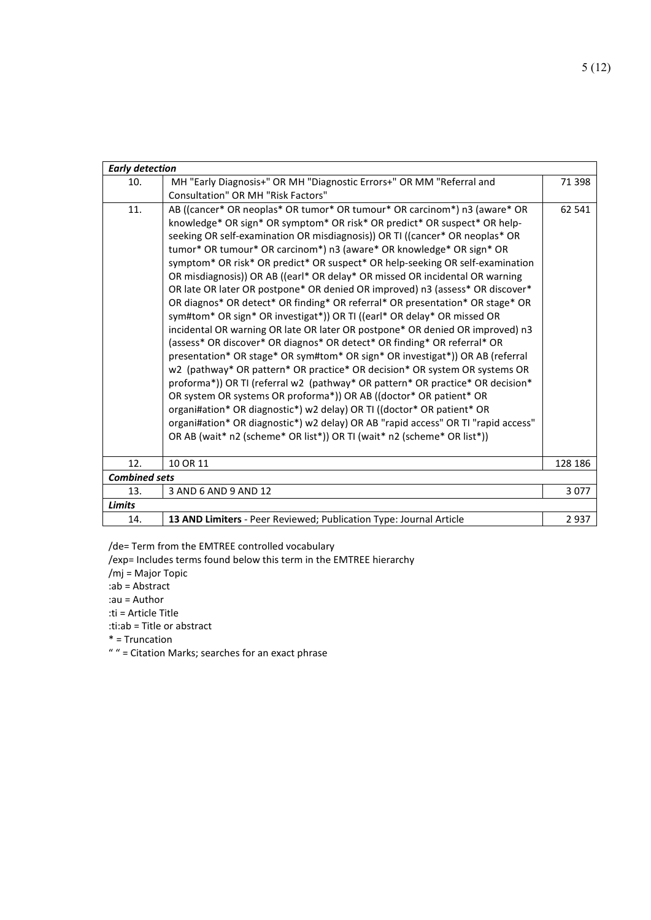| <b>Early detection</b> |                                                                                                                                                                                                                                                                                                                                                                                                                                                                                                                                                                                                                                                                                                                                                                                                                                                                                                                                                                                                                                                                                                                                                                                                                                                                                            |         |
|------------------------|--------------------------------------------------------------------------------------------------------------------------------------------------------------------------------------------------------------------------------------------------------------------------------------------------------------------------------------------------------------------------------------------------------------------------------------------------------------------------------------------------------------------------------------------------------------------------------------------------------------------------------------------------------------------------------------------------------------------------------------------------------------------------------------------------------------------------------------------------------------------------------------------------------------------------------------------------------------------------------------------------------------------------------------------------------------------------------------------------------------------------------------------------------------------------------------------------------------------------------------------------------------------------------------------|---------|
| 10.                    | MH "Early Diagnosis+" OR MH "Diagnostic Errors+" OR MM "Referral and                                                                                                                                                                                                                                                                                                                                                                                                                                                                                                                                                                                                                                                                                                                                                                                                                                                                                                                                                                                                                                                                                                                                                                                                                       | 71 398  |
|                        | Consultation" OR MH "Risk Factors"                                                                                                                                                                                                                                                                                                                                                                                                                                                                                                                                                                                                                                                                                                                                                                                                                                                                                                                                                                                                                                                                                                                                                                                                                                                         |         |
| 11.                    | AB ((cancer* OR neoplas* OR tumor* OR tumour* OR carcinom*) n3 (aware* OR<br>knowledge* OR sign* OR symptom* OR risk* OR predict* OR suspect* OR help-<br>seeking OR self-examination OR misdiagnosis)) OR TI ((cancer* OR neoplas* OR<br>tumor* OR tumour* OR carcinom*) n3 (aware* OR knowledge* OR sign* OR<br>symptom* OR risk* OR predict* OR suspect* OR help-seeking OR self-examination<br>OR misdiagnosis)) OR AB ((earl* OR delay* OR missed OR incidental OR warning<br>OR late OR later OR postpone* OR denied OR improved) n3 (assess* OR discover*<br>OR diagnos* OR detect* OR finding* OR referral* OR presentation* OR stage* OR<br>sym#tom* OR sign* OR investigat*)) OR TI ((earl* OR delay* OR missed OR<br>incidental OR warning OR late OR later OR postpone* OR denied OR improved) n3<br>(assess* OR discover* OR diagnos* OR detect* OR finding* OR referral* OR<br>presentation* OR stage* OR sym#tom* OR sign* OR investigat*)) OR AB (referral<br>w2 (pathway* OR pattern* OR practice* OR decision* OR system OR systems OR<br>proforma*)) OR TI (referral w2 (pathway* OR pattern* OR practice* OR decision*<br>OR system OR systems OR proforma*)) OR AB ((doctor* OR patient* OR<br>organi#ation* OR diagnostic*) w2 delay) OR TI ((doctor* OR patient* OR | 62 541  |
|                        | organi#ation* OR diagnostic*) w2 delay) OR AB "rapid access" OR TI "rapid access"<br>OR AB (wait* n2 (scheme* OR list*)) OR TI (wait* n2 (scheme* OR list*))                                                                                                                                                                                                                                                                                                                                                                                                                                                                                                                                                                                                                                                                                                                                                                                                                                                                                                                                                                                                                                                                                                                               |         |
|                        |                                                                                                                                                                                                                                                                                                                                                                                                                                                                                                                                                                                                                                                                                                                                                                                                                                                                                                                                                                                                                                                                                                                                                                                                                                                                                            |         |
| 12.                    | 10 OR 11                                                                                                                                                                                                                                                                                                                                                                                                                                                                                                                                                                                                                                                                                                                                                                                                                                                                                                                                                                                                                                                                                                                                                                                                                                                                                   | 128 186 |
| <b>Combined sets</b>   |                                                                                                                                                                                                                                                                                                                                                                                                                                                                                                                                                                                                                                                                                                                                                                                                                                                                                                                                                                                                                                                                                                                                                                                                                                                                                            |         |
| 13.                    | 3 AND 6 AND 9 AND 12                                                                                                                                                                                                                                                                                                                                                                                                                                                                                                                                                                                                                                                                                                                                                                                                                                                                                                                                                                                                                                                                                                                                                                                                                                                                       | 3077    |
| <b>Limits</b>          |                                                                                                                                                                                                                                                                                                                                                                                                                                                                                                                                                                                                                                                                                                                                                                                                                                                                                                                                                                                                                                                                                                                                                                                                                                                                                            |         |
| 14.                    | 13 AND Limiters - Peer Reviewed; Publication Type: Journal Article                                                                                                                                                                                                                                                                                                                                                                                                                                                                                                                                                                                                                                                                                                                                                                                                                                                                                                                                                                                                                                                                                                                                                                                                                         | 2937    |

/de= Term from the EMTREE controlled vocabulary

/exp= Includes terms found below this term in the EMTREE hierarchy

/mj = Major Topic

:ab = Abstract

:au = Author

:ti = Article Title

:ti:ab = Title or abstract

\* = Truncation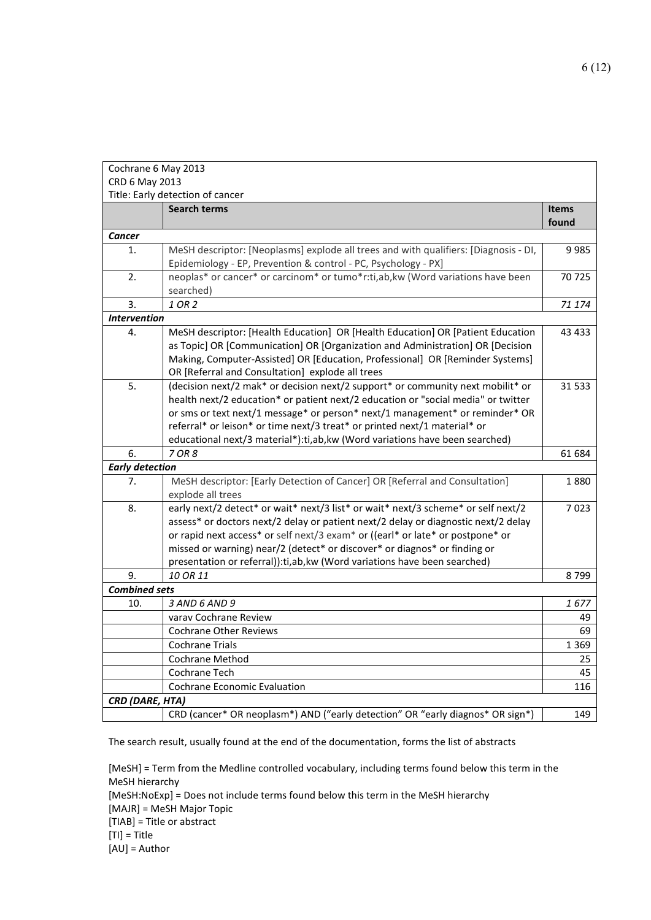| Cochrane 6 May 2013    |                                                                                                                                   |              |
|------------------------|-----------------------------------------------------------------------------------------------------------------------------------|--------------|
| CRD 6 May 2013         |                                                                                                                                   |              |
|                        | Title: Early detection of cancer                                                                                                  |              |
|                        | <b>Search terms</b>                                                                                                               | <b>Items</b> |
|                        |                                                                                                                                   | found        |
| Cancer                 |                                                                                                                                   |              |
| 1.                     | MeSH descriptor: [Neoplasms] explode all trees and with qualifiers: [Diagnosis - DI,                                              | 9985         |
|                        | Epidemiology - EP, Prevention & control - PC, Psychology - PX]                                                                    |              |
| 2.                     | neoplas* or cancer* or carcinom* or tumo*r:ti,ab,kw (Word variations have been                                                    | 70 725       |
|                        | searched)                                                                                                                         |              |
| 3.                     | 1 OR 2                                                                                                                            | 71 174       |
| <b>Intervention</b>    |                                                                                                                                   |              |
| 4.                     | MeSH descriptor: [Health Education] OR [Health Education] OR [Patient Education                                                   | 43 4 33      |
|                        | as Topic] OR [Communication] OR [Organization and Administration] OR [Decision                                                    |              |
|                        | Making, Computer-Assisted] OR [Education, Professional] OR [Reminder Systems]<br>OR [Referral and Consultation] explode all trees |              |
| 5.                     | (decision next/2 mak* or decision next/2 support* or community next mobilit* or                                                   | 31 533       |
|                        | health next/2 education* or patient next/2 education or "social media" or twitter                                                 |              |
|                        | or sms or text next/1 message* or person* next/1 management* or reminder* OR                                                      |              |
|                        | referral* or leison* or time next/3 treat* or printed next/1 material* or                                                         |              |
|                        | educational next/3 material*):ti,ab,kw (Word variations have been searched)                                                       |              |
| 6.                     | 7 OR 8                                                                                                                            | 61 684       |
| <b>Early detection</b> |                                                                                                                                   |              |
| 7.                     | MeSH descriptor: [Early Detection of Cancer] OR [Referral and Consultation]                                                       | 1880         |
|                        | explode all trees                                                                                                                 |              |
| 8.                     | early next/2 detect* or wait* next/3 list* or wait* next/3 scheme* or self next/2                                                 | 7023         |
|                        | assess* or doctors next/2 delay or patient next/2 delay or diagnostic next/2 delay                                                |              |
|                        | or rapid next access* or self next/3 exam* or ((earl* or late* or postpone* or                                                    |              |
|                        | missed or warning) near/2 (detect* or discover* or diagnos* or finding or                                                         |              |
|                        | presentation or referral)): ti, ab, kw (Word variations have been searched)                                                       |              |
| 9.                     | 10 OR 11                                                                                                                          | 8799         |
| <b>Combined sets</b>   |                                                                                                                                   |              |
| 10.                    | 3 AND 6 AND 9                                                                                                                     | 1677         |
|                        | varav Cochrane Review                                                                                                             | 49           |
|                        | <b>Cochrane Other Reviews</b>                                                                                                     | 69           |
|                        | <b>Cochrane Trials</b>                                                                                                            | 1 3 6 9      |
|                        | Cochrane Method                                                                                                                   | 25           |
|                        | Cochrane Tech                                                                                                                     | 45           |
|                        | <b>Cochrane Economic Evaluation</b>                                                                                               | 116          |
| CRD (DARE, HTA)        |                                                                                                                                   |              |
|                        | CRD (cancer* OR neoplasm*) AND ("early detection" OR "early diagnos* OR sign*)                                                    | 149          |

The search result, usually found at the end of the documentation, forms the list of abstracts

[MeSH] = Term from the Medline controlled vocabulary, including terms found below this term in the MeSH hierarchy [MeSH:NoExp] = Does not include terms found below this term in the MeSH hierarchy [MAJR] = MeSH Major Topic [TIAB] = Title or abstract [TI] = Title [AU] = Author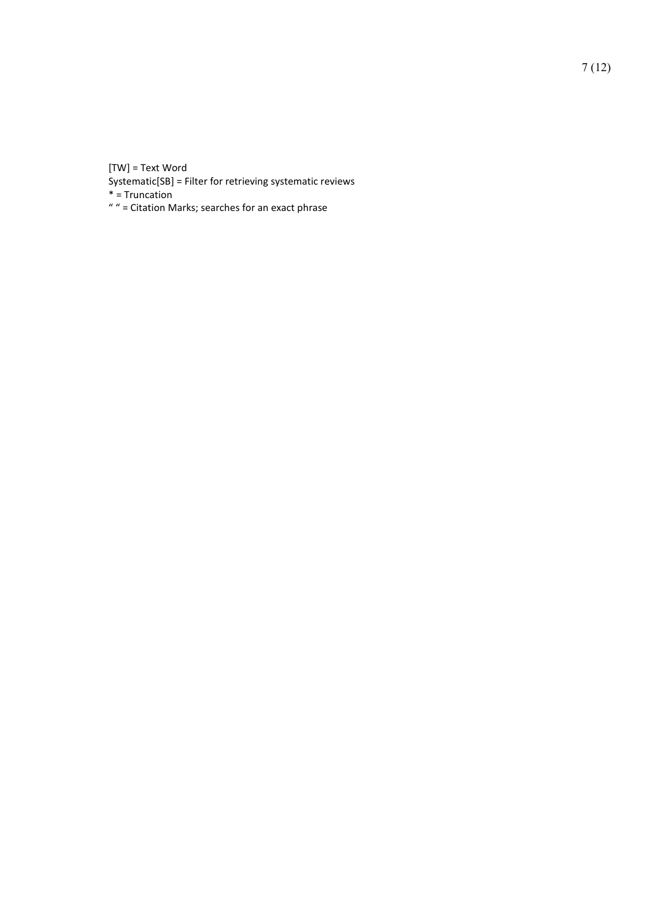[TW] = Text Word

Systematic[SB] = Filter for retrieving systematic reviews

 $*$  = Truncation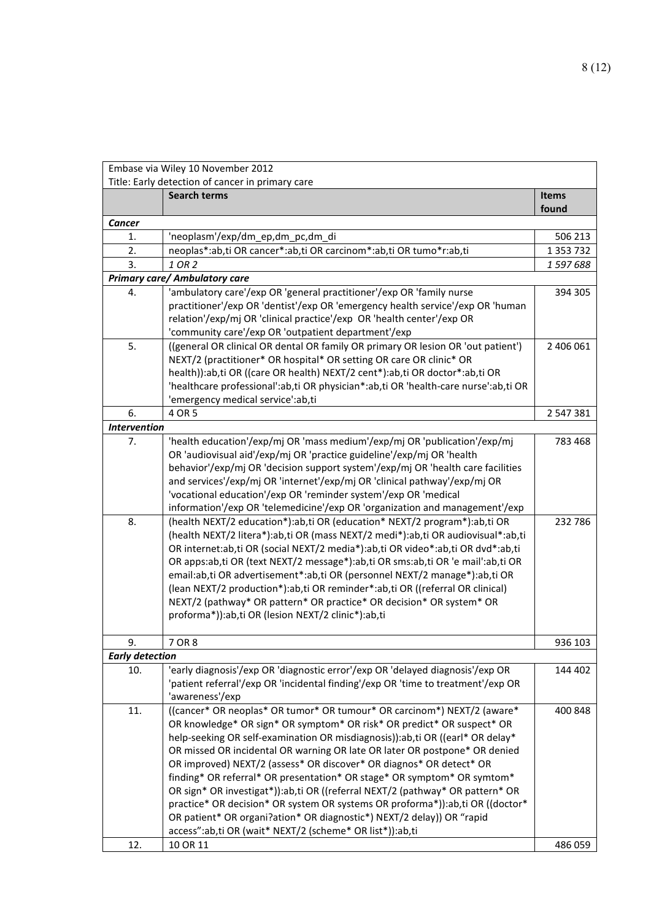| Embase via Wiley 10 November 2012 |                                                                                                                                                             |               |
|-----------------------------------|-------------------------------------------------------------------------------------------------------------------------------------------------------------|---------------|
|                                   | Title: Early detection of cancer in primary care                                                                                                            |               |
|                                   | <b>Search terms</b>                                                                                                                                         | Items         |
|                                   |                                                                                                                                                             | found         |
| <b>Cancer</b>                     |                                                                                                                                                             |               |
| 1.                                | 'neoplasm'/exp/dm_ep,dm_pc,dm_di                                                                                                                            | 506 213       |
| 2.                                | neoplas*:ab,ti OR cancer*:ab,ti OR carcinom*:ab,ti OR tumo*r:ab,ti                                                                                          | 1 3 5 3 7 3 2 |
| 3.                                | 1 OR 2                                                                                                                                                      | 1597688       |
|                                   | <b>Primary care/ Ambulatory care</b>                                                                                                                        |               |
| 4.                                | 'ambulatory care'/exp OR 'general practitioner'/exp OR 'family nurse                                                                                        | 394 305       |
|                                   | practitioner'/exp OR 'dentist'/exp OR 'emergency health service'/exp OR 'human                                                                              |               |
|                                   | relation'/exp/mj OR 'clinical practice'/exp OR 'health center'/exp OR                                                                                       |               |
| 5.                                | 'community care'/exp OR 'outpatient department'/exp<br>((general OR clinical OR dental OR family OR primary OR lesion OR 'out patient')                     | 2 406 061     |
|                                   | NEXT/2 (practitioner* OR hospital* OR setting OR care OR clinic* OR                                                                                         |               |
|                                   | health)):ab,ti OR ((care OR health) NEXT/2 cent*):ab,ti OR doctor*:ab,ti OR                                                                                 |               |
|                                   | 'healthcare professional':ab,ti OR physician*:ab,ti OR 'health-care nurse':ab,ti OR                                                                         |               |
|                                   | 'emergency medical service':ab,ti                                                                                                                           |               |
| 6.                                | 4 OR 5                                                                                                                                                      | 2 547 381     |
| <b>Intervention</b>               |                                                                                                                                                             |               |
| 7.                                | 'health education'/exp/mj OR 'mass medium'/exp/mj OR 'publication'/exp/mj                                                                                   | 783 468       |
|                                   | OR 'audiovisual aid'/exp/mj OR 'practice guideline'/exp/mj OR 'health                                                                                       |               |
|                                   | behavior'/exp/mj OR 'decision support system'/exp/mj OR 'health care facilities                                                                             |               |
|                                   | and services'/exp/mj OR 'internet'/exp/mj OR 'clinical pathway'/exp/mj OR                                                                                   |               |
|                                   | 'vocational education'/exp OR 'reminder system'/exp OR 'medical                                                                                             |               |
|                                   | information'/exp OR 'telemedicine'/exp OR 'organization and management'/exp                                                                                 |               |
| 8.                                | (health NEXT/2 education*):ab,ti OR (education* NEXT/2 program*):ab,ti OR                                                                                   | 232 786       |
|                                   | (health NEXT/2 litera*):ab,ti OR (mass NEXT/2 medi*):ab,ti OR audiovisual*:ab,ti                                                                            |               |
|                                   | OR internet:ab,ti OR (social NEXT/2 media*):ab,ti OR video*:ab,ti OR dvd*:ab,ti                                                                             |               |
|                                   | OR apps:ab,ti OR (text NEXT/2 message*):ab,ti OR sms:ab,ti OR 'e mail':ab,ti OR                                                                             |               |
|                                   | email:ab,ti OR advertisement*:ab,ti OR (personnel NEXT/2 manage*):ab,ti OR<br>(lean NEXT/2 production*):ab,ti OR reminder*:ab,ti OR ((referral OR clinical) |               |
|                                   | NEXT/2 (pathway* OR pattern* OR practice* OR decision* OR system* OR                                                                                        |               |
|                                   | proforma*)):ab,ti OR (lesion NEXT/2 clinic*):ab,ti                                                                                                          |               |
|                                   |                                                                                                                                                             |               |
| 9.                                | 7 OR 8                                                                                                                                                      | 936 103       |
| <b>Early detection</b>            |                                                                                                                                                             |               |
| 10.                               | 'early diagnosis'/exp OR 'diagnostic error'/exp OR 'delayed diagnosis'/exp OR                                                                               | 144 402       |
|                                   | 'patient referral'/exp OR 'incidental finding'/exp OR 'time to treatment'/exp OR                                                                            |               |
|                                   | 'awareness'/exp                                                                                                                                             |               |
| 11.                               | ((cancer* OR neoplas* OR tumor* OR tumour* OR carcinom*) NEXT/2 (aware*                                                                                     | 400 848       |
|                                   | OR knowledge* OR sign* OR symptom* OR risk* OR predict* OR suspect* OR                                                                                      |               |
|                                   | help-seeking OR self-examination OR misdiagnosis)):ab,ti OR ((earl* OR delay*                                                                               |               |
|                                   | OR missed OR incidental OR warning OR late OR later OR postpone* OR denied                                                                                  |               |
|                                   | OR improved) NEXT/2 (assess* OR discover* OR diagnos* OR detect* OR                                                                                         |               |
|                                   | finding* OR referral* OR presentation* OR stage* OR symptom* OR symtom*                                                                                     |               |
|                                   | OR sign* OR investigat*)):ab,ti OR ((referral NEXT/2 (pathway* OR pattern* OR                                                                               |               |
|                                   | practice* OR decision* OR system OR systems OR proforma*)):ab,ti OR ((doctor*<br>OR patient* OR organi?ation* OR diagnostic*) NEXT/2 delay)) OR "rapid      |               |
|                                   | access":ab,ti OR (wait* NEXT/2 (scheme* OR list*)):ab,ti                                                                                                    |               |
| 12.                               | 10 OR 11                                                                                                                                                    | 486 059       |
|                                   |                                                                                                                                                             |               |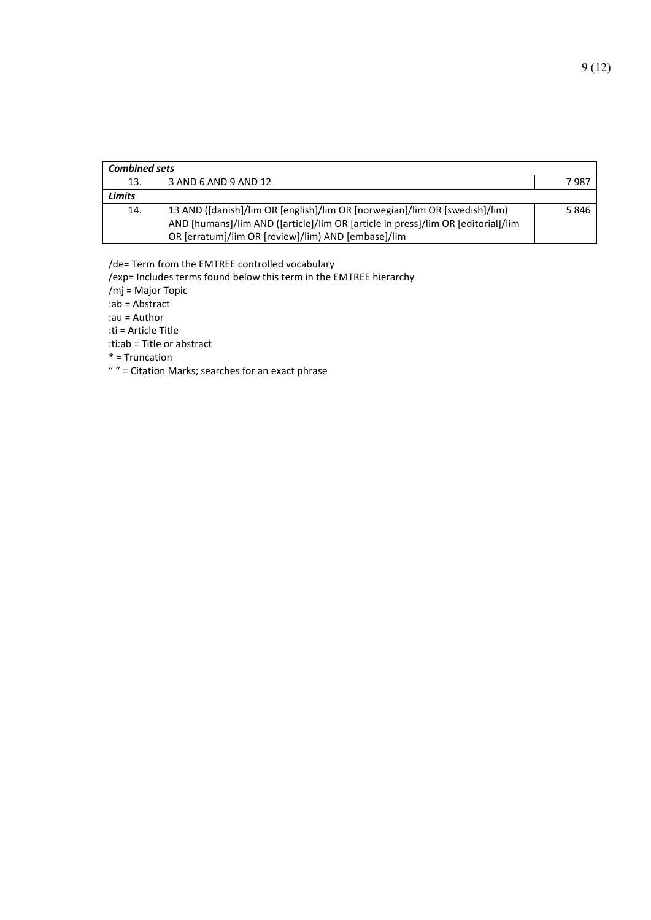| <b>Combined sets</b> |                                                                                  |       |
|----------------------|----------------------------------------------------------------------------------|-------|
| 13.                  | 3 AND 6 AND 9 AND 12                                                             | 7 987 |
| <b>Limits</b>        |                                                                                  |       |
| 14.                  | 13 AND ([danish]/lim OR [english]/lim OR [norwegian]/lim OR [swedish]/lim)       | 5846  |
|                      | AND [humans]/lim AND ([article]/lim OR [article in press]/lim OR [editorial]/lim |       |
|                      | OR [erratum]/lim OR [review]/lim) AND [embase]/lim                               |       |

/de= Term from the EMTREE controlled vocabulary

/exp= Includes terms found below this term in the EMTREE hierarchy

/mj = Major Topic

:ab = Abstract

:au = Author

:ti = Article Title

:ti:ab = Title or abstract

\* = Truncation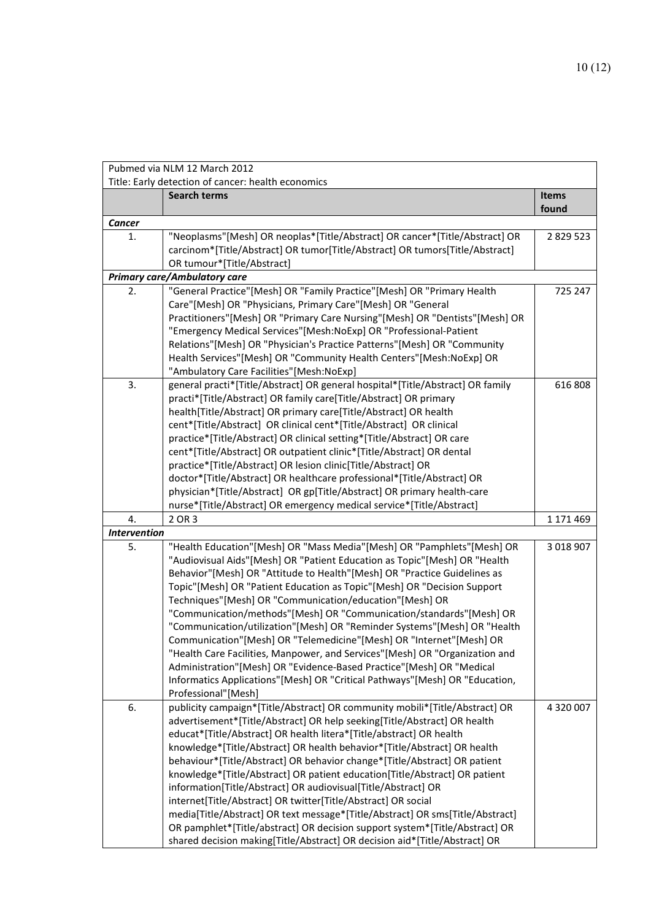| Pubmed via NLM 12 March 2012                                                                                                                                 |               |
|--------------------------------------------------------------------------------------------------------------------------------------------------------------|---------------|
| Title: Early detection of cancer: health economics<br><b>Search terms</b>                                                                                    | Items         |
|                                                                                                                                                              | found         |
| <b>Cancer</b>                                                                                                                                                |               |
| "Neoplasms"[Mesh] OR neoplas*[Title/Abstract] OR cancer*[Title/Abstract] OR<br>1.                                                                            | 2 8 29 5 23   |
| carcinom*[Title/Abstract] OR tumor[Title/Abstract] OR tumors[Title/Abstract]                                                                                 |               |
| OR tumour*[Title/Abstract]<br><b>Primary care/Ambulatory care</b>                                                                                            |               |
| "General Practice"[Mesh] OR "Family Practice"[Mesh] OR "Primary Health<br>2.                                                                                 | 725 247       |
| Care"[Mesh] OR "Physicians, Primary Care"[Mesh] OR "General                                                                                                  |               |
| Practitioners"[Mesh] OR "Primary Care Nursing"[Mesh] OR "Dentists"[Mesh] OR                                                                                  |               |
| "Emergency Medical Services"[Mesh:NoExp] OR "Professional-Patient                                                                                            |               |
| Relations"[Mesh] OR "Physician's Practice Patterns"[Mesh] OR "Community                                                                                      |               |
| Health Services"[Mesh] OR "Community Health Centers"[Mesh:NoExp] OR                                                                                          |               |
| "Ambulatory Care Facilities"[Mesh:NoExp]                                                                                                                     |               |
| 3.<br>general practi*[Title/Abstract] OR general hospital*[Title/Abstract] OR family                                                                         | 616 808       |
| practi*[Title/Abstract] OR family care[Title/Abstract] OR primary                                                                                            |               |
| health[Title/Abstract] OR primary care[Title/Abstract] OR health                                                                                             |               |
| cent*[Title/Abstract] OR clinical cent*[Title/Abstract] OR clinical                                                                                          |               |
| practice*[Title/Abstract] OR clinical setting*[Title/Abstract] OR care                                                                                       |               |
| cent*[Title/Abstract] OR outpatient clinic*[Title/Abstract] OR dental                                                                                        |               |
| practice*[Title/Abstract] OR lesion clinic[Title/Abstract] OR                                                                                                |               |
| doctor*[Title/Abstract] OR healthcare professional*[Title/Abstract] OR                                                                                       |               |
| physician*[Title/Abstract] OR gp[Title/Abstract] OR primary health-care                                                                                      |               |
| nurse*[Title/Abstract] OR emergency medical service*[Title/Abstract]                                                                                         |               |
| 2 OR 3<br>4.                                                                                                                                                 | 1 171 469     |
| <b>Intervention</b>                                                                                                                                          |               |
| "Health Education"[Mesh] OR "Mass Media"[Mesh] OR "Pamphlets"[Mesh] OR<br>5.<br>"Audiovisual Aids"[Mesh] OR "Patient Education as Topic"[Mesh] OR "Health    | 3 0 18 9 0 7  |
| Behavior"[Mesh] OR "Attitude to Health"[Mesh] OR "Practice Guidelines as                                                                                     |               |
| Topic"[Mesh] OR "Patient Education as Topic"[Mesh] OR "Decision Support                                                                                      |               |
| Techniques"[Mesh] OR "Communication/education"[Mesh] OR                                                                                                      |               |
| "Communication/methods"[Mesh] OR "Communication/standards"[Mesh] OR                                                                                          |               |
| "Communication/utilization"[Mesh] OR "Reminder Systems"[Mesh] OR "Health                                                                                     |               |
| Communication"[Mesh] OR "Telemedicine"[Mesh] OR "Internet"[Mesh] OR                                                                                          |               |
| "Health Care Facilities, Manpower, and Services"[Mesh] OR "Organization and                                                                                  |               |
| Administration"[Mesh] OR "Evidence-Based Practice"[Mesh] OR "Medical                                                                                         |               |
| Informatics Applications"[Mesh] OR "Critical Pathways"[Mesh] OR "Education,                                                                                  |               |
| Professional"[Mesh]                                                                                                                                          |               |
| publicity campaign*[Title/Abstract] OR community mobili*[Title/Abstract] OR<br>6.                                                                            | 4 3 2 0 0 0 7 |
| advertisement*[Title/Abstract] OR help seeking[Title/Abstract] OR health                                                                                     |               |
| educat*[Title/Abstract] OR health litera*[Title/abstract] OR health                                                                                          |               |
| knowledge*[Title/Abstract] OR health behavior*[Title/Abstract] OR health                                                                                     |               |
| behaviour*[Title/Abstract] OR behavior change*[Title/Abstract] OR patient                                                                                    |               |
| knowledge*[Title/Abstract] OR patient education[Title/Abstract] OR patient                                                                                   |               |
| information[Title/Abstract] OR audiovisual[Title/Abstract] OR                                                                                                |               |
|                                                                                                                                                              |               |
| internet[Title/Abstract] OR twitter[Title/Abstract] OR social                                                                                                |               |
| media[Title/Abstract] OR text message*[Title/Abstract] OR sms[Title/Abstract]<br>OR pamphlet*[Title/abstract] OR decision support system*[Title/Abstract] OR |               |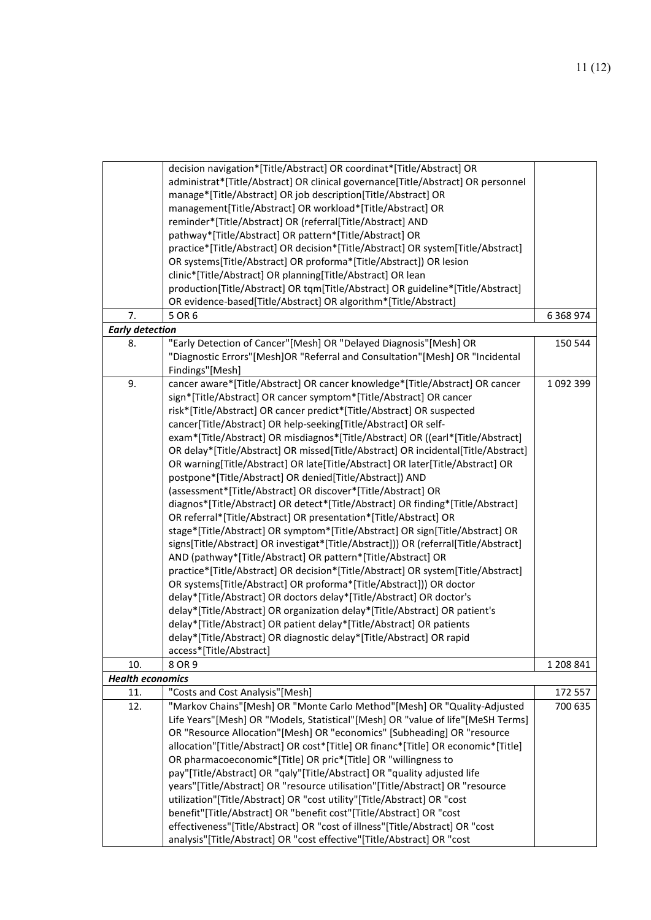| 7.                      | decision navigation*[Title/Abstract] OR coordinat*[Title/Abstract] OR<br>administrat*[Title/Abstract] OR clinical governance[Title/Abstract] OR personnel<br>manage*[Title/Abstract] OR job description[Title/Abstract] OR<br>management[Title/Abstract] OR workload*[Title/Abstract] OR<br>reminder*[Title/Abstract] OR (referral[Title/Abstract] AND<br>pathway*[Title/Abstract] OR pattern*[Title/Abstract] OR<br>practice*[Title/Abstract] OR decision*[Title/Abstract] OR system[Title/Abstract]<br>OR systems[Title/Abstract] OR proforma*[Title/Abstract]) OR lesion<br>clinic*[Title/Abstract] OR planning[Title/Abstract] OR lean<br>production[Title/Abstract] OR tqm[Title/Abstract] OR guideline*[Title/Abstract]<br>OR evidence-based[Title/Abstract] OR algorithm*[Title/Abstract]<br>5 OR 6                                                                                                                                                                                                                                                                                                                                                                                                                                                                                                                                                                                                                                                                                                                                                                      | 6 3 68 9 74        |
|-------------------------|---------------------------------------------------------------------------------------------------------------------------------------------------------------------------------------------------------------------------------------------------------------------------------------------------------------------------------------------------------------------------------------------------------------------------------------------------------------------------------------------------------------------------------------------------------------------------------------------------------------------------------------------------------------------------------------------------------------------------------------------------------------------------------------------------------------------------------------------------------------------------------------------------------------------------------------------------------------------------------------------------------------------------------------------------------------------------------------------------------------------------------------------------------------------------------------------------------------------------------------------------------------------------------------------------------------------------------------------------------------------------------------------------------------------------------------------------------------------------------------------------------------------------------------------------------------------------------|--------------------|
| <b>Early detection</b>  |                                                                                                                                                                                                                                                                                                                                                                                                                                                                                                                                                                                                                                                                                                                                                                                                                                                                                                                                                                                                                                                                                                                                                                                                                                                                                                                                                                                                                                                                                                                                                                                 |                    |
| 8.                      | "Early Detection of Cancer"[Mesh] OR "Delayed Diagnosis"[Mesh] OR<br>"Diagnostic Errors"[Mesh]OR "Referral and Consultation"[Mesh] OR "Incidental<br>Findings"[Mesh]                                                                                                                                                                                                                                                                                                                                                                                                                                                                                                                                                                                                                                                                                                                                                                                                                                                                                                                                                                                                                                                                                                                                                                                                                                                                                                                                                                                                            | 150 544            |
| 9.                      | cancer aware*[Title/Abstract] OR cancer knowledge*[Title/Abstract] OR cancer<br>sign*[Title/Abstract] OR cancer symptom*[Title/Abstract] OR cancer<br>risk*[Title/Abstract] OR cancer predict*[Title/Abstract] OR suspected<br>cancer[Title/Abstract] OR help-seeking[Title/Abstract] OR self-<br>exam*[Title/Abstract] OR misdiagnos*[Title/Abstract] OR ((earl*[Title/Abstract]<br>OR delay*[Title/Abstract] OR missed[Title/Abstract] OR incidental[Title/Abstract]<br>OR warning[Title/Abstract] OR late[Title/Abstract] OR later[Title/Abstract] OR<br>postpone*[Title/Abstract] OR denied[Title/Abstract]) AND<br>(assessment*[Title/Abstract] OR discover*[Title/Abstract] OR<br>diagnos*[Title/Abstract] OR detect*[Title/Abstract] OR finding*[Title/Abstract]<br>OR referral*[Title/Abstract] OR presentation*[Title/Abstract] OR<br>stage*[Title/Abstract] OR symptom*[Title/Abstract] OR sign[Title/Abstract] OR<br>signs[Title/Abstract] OR investigat*[Title/Abstract])) OR (referral[Title/Abstract]<br>AND (pathway*[Title/Abstract] OR pattern*[Title/Abstract] OR<br>practice*[Title/Abstract] OR decision*[Title/Abstract] OR system[Title/Abstract]<br>OR systems[Title/Abstract] OR proforma*[Title/Abstract])) OR doctor<br>delay*[Title/Abstract] OR doctors delay*[Title/Abstract] OR doctor's<br>delay*[Title/Abstract] OR organization delay*[Title/Abstract] OR patient's<br>delay*[Title/Abstract] OR patient delay*[Title/Abstract] OR patients<br>delay*[Title/Abstract] OR diagnostic delay*[Title/Abstract] OR rapid<br>access*[Title/Abstract] | 1 092 399          |
| 10.                     | 8 OR 9                                                                                                                                                                                                                                                                                                                                                                                                                                                                                                                                                                                                                                                                                                                                                                                                                                                                                                                                                                                                                                                                                                                                                                                                                                                                                                                                                                                                                                                                                                                                                                          | 1 208 841          |
| <b>Health economics</b> |                                                                                                                                                                                                                                                                                                                                                                                                                                                                                                                                                                                                                                                                                                                                                                                                                                                                                                                                                                                                                                                                                                                                                                                                                                                                                                                                                                                                                                                                                                                                                                                 |                    |
| 11.<br>12.              | "Costs and Cost Analysis"[Mesh]<br>"Markov Chains"[Mesh] OR "Monte Carlo Method"[Mesh] OR "Quality-Adjusted                                                                                                                                                                                                                                                                                                                                                                                                                                                                                                                                                                                                                                                                                                                                                                                                                                                                                                                                                                                                                                                                                                                                                                                                                                                                                                                                                                                                                                                                     | 172 557<br>700 635 |
|                         | Life Years"[Mesh] OR "Models, Statistical"[Mesh] OR "value of life"[MeSH Terms]<br>OR "Resource Allocation"[Mesh] OR "economics" [Subheading] OR "resource<br>allocation"[Title/Abstract] OR cost*[Title] OR financ*[Title] OR economic*[Title]<br>OR pharmacoeconomic*[Title] OR pric*[Title] OR "willingness to<br>pay"[Title/Abstract] OR "qaly"[Title/Abstract] OR "quality adjusted life<br>years"[Title/Abstract] OR "resource utilisation"[Title/Abstract] OR "resource<br>utilization"[Title/Abstract] OR "cost utility"[Title/Abstract] OR "cost<br>benefit"[Title/Abstract] OR "benefit cost"[Title/Abstract] OR "cost<br>effectiveness"[Title/Abstract] OR "cost of illness"[Title/Abstract] OR "cost<br>analysis"[Title/Abstract] OR "cost effective"[Title/Abstract] OR "cost                                                                                                                                                                                                                                                                                                                                                                                                                                                                                                                                                                                                                                                                                                                                                                                      |                    |